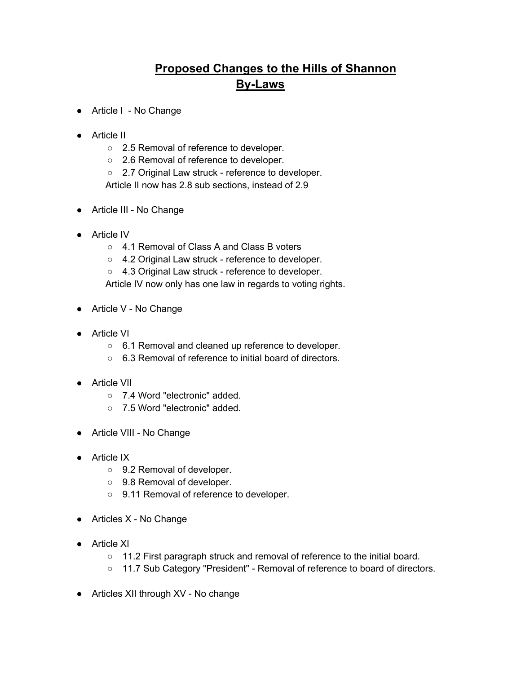## **Proposed Changes to the Hills of Shannon By-Laws**

- Article I No Change
- Article II
	- 2.5 Removal of reference to developer.
	- 2.6 Removal of reference to developer.
	- 2.7 Original Law struck reference to developer. Article II now has 2.8 sub sections, instead of 2.9
- Article III No Change
- Article IV
	- 4.1 Removal of Class A and Class B voters
	- 4.2 Original Law struck reference to developer.
	- 4.3 Original Law struck reference to developer.
	- Article IV now only has one law in regards to voting rights.
- Article V No Change
- Article VI
	- 6.1 Removal and cleaned up reference to developer.
	- 6.3 Removal of reference to initial board of directors.
- Article VII
	- 7.4 Word "electronic" added.
	- 7.5 Word "electronic" added.
- Article VIII No Change
- Article IX
	- 9.2 Removal of developer.
	- 9.8 Removal of developer.
	- 9.11 Removal of reference to developer.
- Articles X No Change
- Article XI
	- 11.2 First paragraph struck and removal of reference to the initial board.
	- 11.7 Sub Category "President" Removal of reference to board of directors.
- Articles XII through XV No change